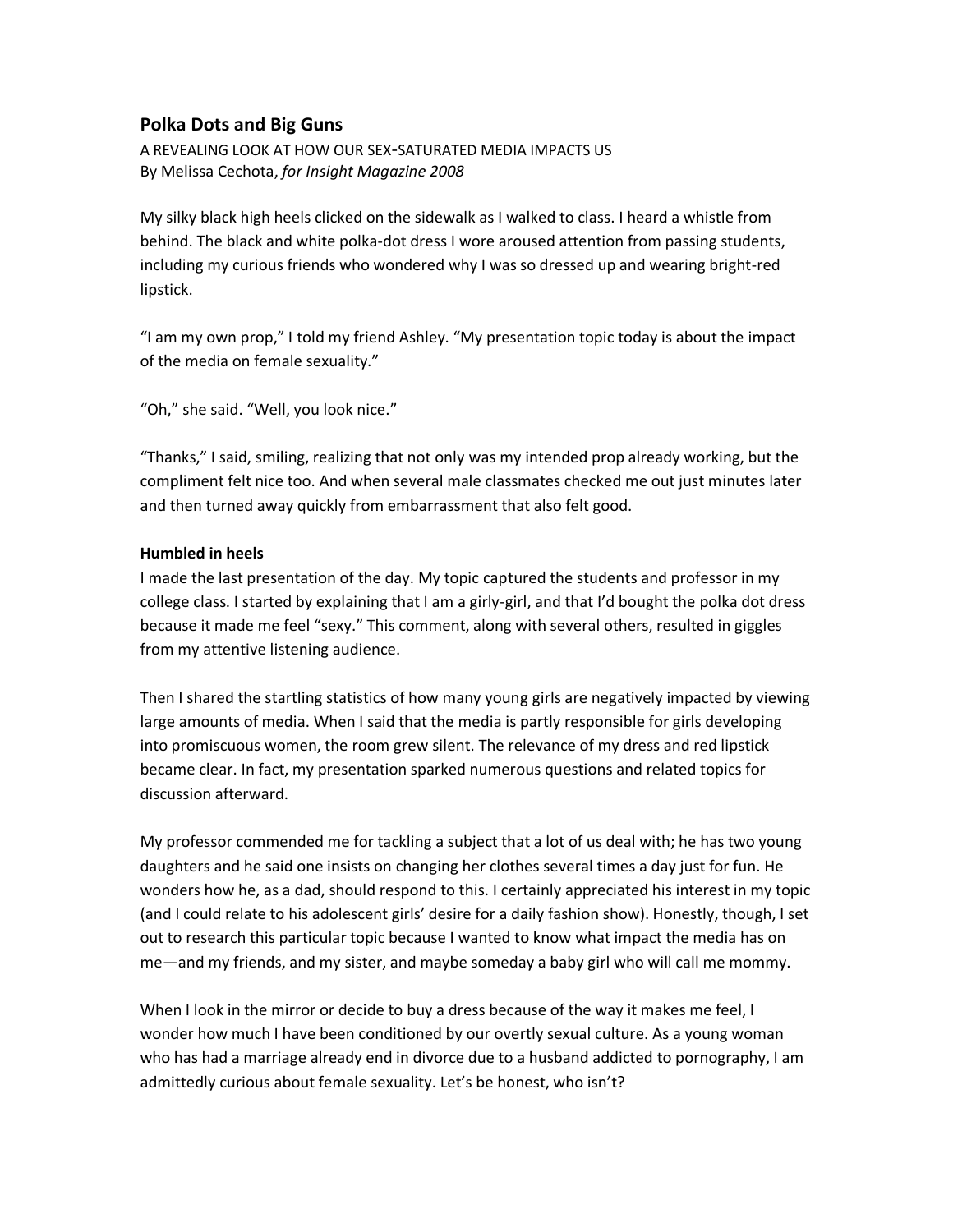# **Polka Dots and Big Guns**

A REVEALING LOOK AT HOW OUR SEX-SATURATED MEDIA IMPACTS US By Melissa Cechota, *for Insight Magazine 2008*

My silky black high heels clicked on the sidewalk as I walked to class. I heard a whistle from behind. The black and white polka-dot dress I wore aroused attention from passing students, including my curious friends who wondered why I was so dressed up and wearing bright-red lipstick.

"I am my own prop," I told my friend Ashley. "My presentation topic today is about the impact of the media on female sexuality."

"Oh," she said. "Well, you look nice."

"Thanks," I said, smiling, realizing that not only was my intended prop already working, but the compliment felt nice too. And when several male classmates checked me out just minutes later and then turned away quickly from embarrassment that also felt good.

### **Humbled in heels**

I made the last presentation of the day. My topic captured the students and professor in my college class. I started by explaining that I am a girly-girl, and that I'd bought the polka dot dress because it made me feel "sexy." This comment, along with several others, resulted in giggles from my attentive listening audience.

Then I shared the startling statistics of how many young girls are negatively impacted by viewing large amounts of media. When I said that the media is partly responsible for girls developing into promiscuous women, the room grew silent. The relevance of my dress and red lipstick became clear. In fact, my presentation sparked numerous questions and related topics for discussion afterward.

My professor commended me for tackling a subject that a lot of us deal with; he has two young daughters and he said one insists on changing her clothes several times a day just for fun. He wonders how he, as a dad, should respond to this. I certainly appreciated his interest in my topic (and I could relate to his adolescent girls' desire for a daily fashion show). Honestly, though, I set out to research this particular topic because I wanted to know what impact the media has on me—and my friends, and my sister, and maybe someday a baby girl who will call me mommy.

When I look in the mirror or decide to buy a dress because of the way it makes me feel, I wonder how much I have been conditioned by our overtly sexual culture. As a young woman who has had a marriage already end in divorce due to a husband addicted to pornography, I am admittedly curious about female sexuality. Let's be honest, who isn't?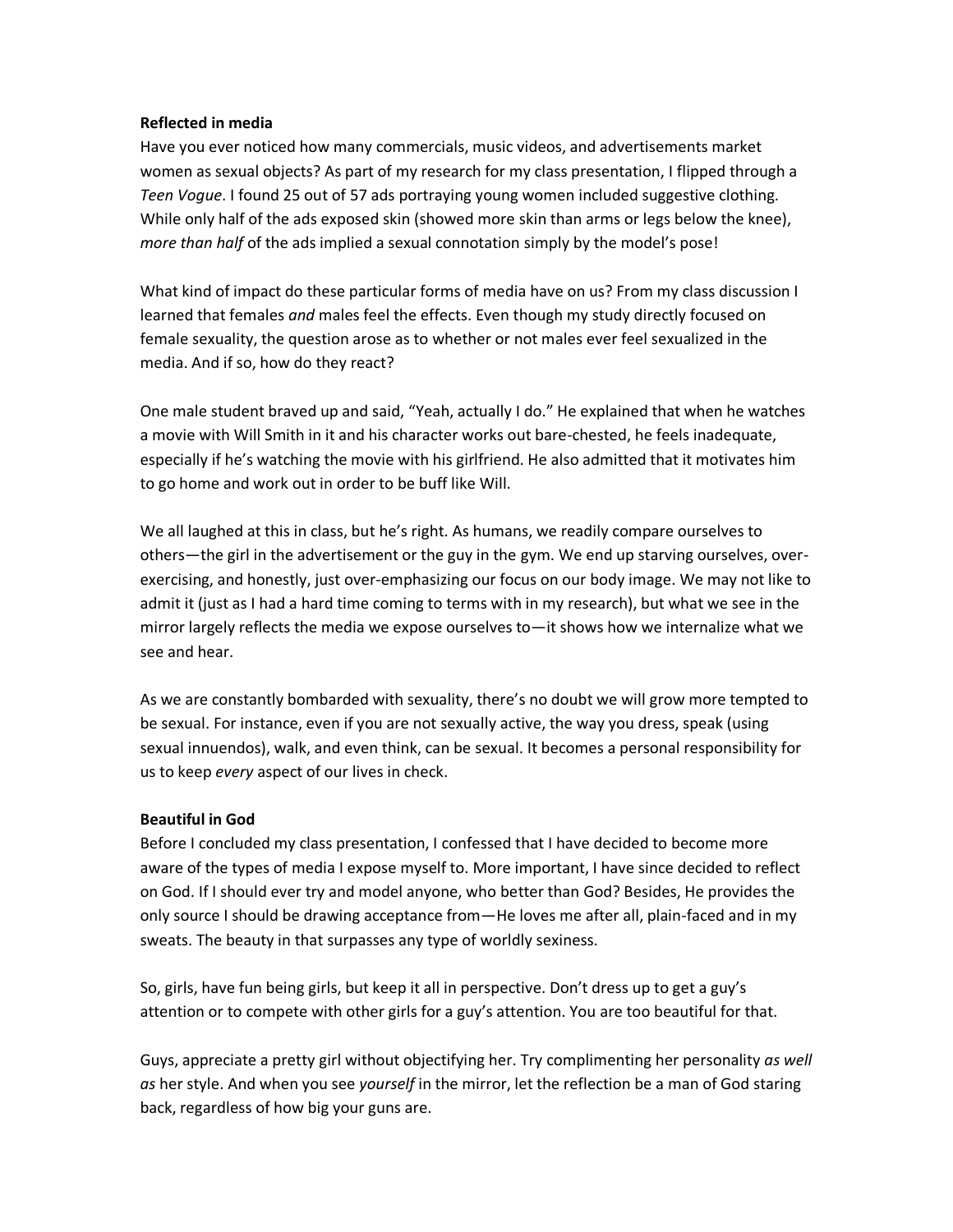#### **Reflected in media**

Have you ever noticed how many commercials, music videos, and advertisements market women as sexual objects? As part of my research for my class presentation, I flipped through a *Teen Vogue*. I found 25 out of 57 ads portraying young women included suggestive clothing. While only half of the ads exposed skin (showed more skin than arms or legs below the knee), *more than half* of the ads implied a sexual connotation simply by the model's pose!

What kind of impact do these particular forms of media have on us? From my class discussion I learned that females *and* males feel the effects. Even though my study directly focused on female sexuality, the question arose as to whether or not males ever feel sexualized in the media. And if so, how do they react?

One male student braved up and said, "Yeah, actually I do." He explained that when he watches a movie with Will Smith in it and his character works out bare-chested, he feels inadequate, especially if he's watching the movie with his girlfriend. He also admitted that it motivates him to go home and work out in order to be buff like Will.

We all laughed at this in class, but he's right. As humans, we readily compare ourselves to others—the girl in the advertisement or the guy in the gym. We end up starving ourselves, overexercising, and honestly, just over-emphasizing our focus on our body image. We may not like to admit it (just as I had a hard time coming to terms with in my research), but what we see in the mirror largely reflects the media we expose ourselves to—it shows how we internalize what we see and hear.

As we are constantly bombarded with sexuality, there's no doubt we will grow more tempted to be sexual. For instance, even if you are not sexually active, the way you dress, speak (using sexual innuendos), walk, and even think, can be sexual. It becomes a personal responsibility for us to keep *every* aspect of our lives in check.

### **Beautiful in God**

Before I concluded my class presentation, I confessed that I have decided to become more aware of the types of media I expose myself to. More important, I have since decided to reflect on God. If I should ever try and model anyone, who better than God? Besides, He provides the only source I should be drawing acceptance from—He loves me after all, plain-faced and in my sweats. The beauty in that surpasses any type of worldly sexiness.

So, girls, have fun being girls, but keep it all in perspective. Don't dress up to get a guy's attention or to compete with other girls for a guy's attention. You are too beautiful for that.

Guys, appreciate a pretty girl without objectifying her. Try complimenting her personality *as well as* her style. And when you see *yourself* in the mirror, let the reflection be a man of God staring back, regardless of how big your guns are.